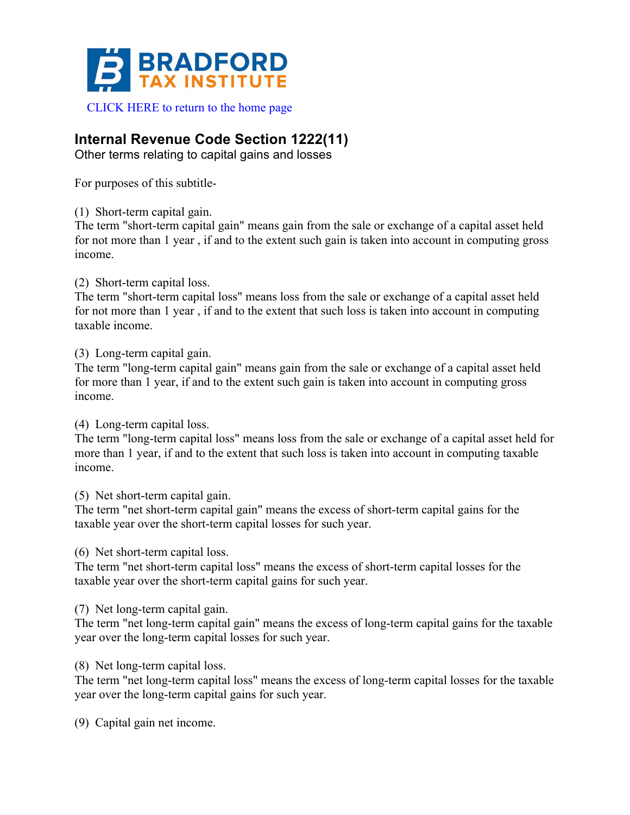

## **Internal Revenue Code Section 1222(11)**

Other terms relating to capital gains and losses

For purposes of this subtitle-

(1) Short-term capital gain.

The term "short-term capital gain" means gain from the sale or exchange of a capital asset held for not more than 1 year , if and to the extent such gain is taken into account in computing gross income.

(2) Short-term capital loss.

The term "short-term capital loss" means loss from the sale or exchange of a capital asset held for not more than 1 year , if and to the extent that such loss is taken into account in computing taxable income.

(3) Long-term capital gain.

The term "long-term capital gain" means gain from the sale or exchange of a capital asset held for more than 1 year, if and to the extent such gain is taken into account in computing gross income.

(4) Long-term capital loss.

The term "long-term capital loss" means loss from the sale or exchange of a capital asset held for more than 1 year, if and to the extent that such loss is taken into account in computing taxable income.

(5) Net short-term capital gain.

The term "net short-term capital gain" means the excess of short-term capital gains for the taxable year over the short-term capital losses for such year.

(6) Net short-term capital loss.

The term "net short-term capital loss" means the excess of short-term capital losses for the taxable year over the short-term capital gains for such year.

(7) Net long-term capital gain.

The term "net long-term capital gain" means the excess of long-term capital gains for the taxable year over the long-term capital losses for such year.

(8) Net long-term capital loss.

The term "net long-term capital loss" means the excess of long-term capital losses for the taxable year over the long-term capital gains for such year.

(9) Capital gain net income.